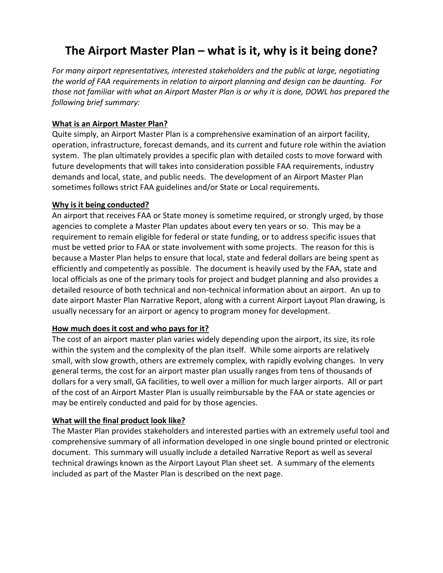# **The Airport Master Plan – what is it, why is it being done?**

*For many airport representatives, interested stakeholders and the public at large, negotiating the world of FAA requirements in relation to airport planning and design can be daunting. For those not familiar with what an Airport Master Plan is or why it is done, DOWL has prepared the following brief summary:*

### **What is an Airport Master Plan?**

Quite simply, an Airport Master Plan is a comprehensive examination of an airport facility, operation, infrastructure, forecast demands, and its current and future role within the aviation system. The plan ultimately provides a specific plan with detailed costs to move forward with future developments that will takes into consideration possible FAA requirements, industry demands and local, state, and public needs. The development of an Airport Master Plan sometimes follows strict FAA guidelines and/or State or Local requirements.

#### **Why is it being conducted?**

An airport that receives FAA or State money is sometime required, or strongly urged, by those agencies to complete a Master Plan updates about every ten years or so. This may be a requirement to remain eligible for federal or state funding, or to address specific issues that must be vetted prior to FAA or state involvement with some projects. The reason for this is because a Master Plan helps to ensure that local, state and federal dollars are being spent as efficiently and competently as possible. The document is heavily used by the FAA, state and local officials as one of the primary tools for project and budget planning and also provides a detailed resource of both technical and non-technical information about an airport. An up to date airport Master Plan Narrative Report, along with a current Airport Layout Plan drawing, is usually necessary for an airport or agency to program money for development.

#### **How much does it cost and who pays for it?**

The cost of an airport master plan varies widely depending upon the airport, its size, its role within the system and the complexity of the plan itself. While some airports are relatively small, with slow growth, others are extremely complex, with rapidly evolving changes. In very general terms, the cost for an airport master plan usually ranges from tens of thousands of dollars for a very small, GA facilities, to well over a million for much larger airports. All or part of the cost of an Airport Master Plan is usually reimbursable by the FAA or state agencies or may be entirely conducted and paid for by those agencies.

## **What will the final product look like?**

The Master Plan provides stakeholders and interested parties with an extremely useful tool and comprehensive summary of all information developed in one single bound printed or electronic document. This summary will usually include a detailed Narrative Report as well as several technical drawings known as the Airport Layout Plan sheet set. A summary of the elements included as part of the Master Plan is described on the next page.